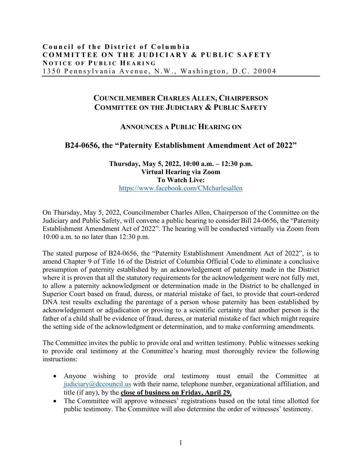## **COUNCILMEMBER CHARLES ALLEN, CHAIRPERSON COMMITTEE ON THE JUDICIARY & PUBLIC SAFETY**

## **ANNOUNCES A PUBLIC HEARING ON**

## **B24-0656, the "Paternity Establishment Amendment Act of 2022"**

## **Thursday, May 5, 2022, 10:00 a.m. – 12:30 p.m. Virtual Hearing via Zoom To Watch Live:** https://www.facebook.com/CMcharlesallen

On Thursday, May 5, 2022, Councilmember Charles Allen, Chairperson of the Committee on the Judiciary and Public Safety, will convene a public hearing to consider Bill 24-0656, the "Paternity Establishment Amendment Act of 2022". The hearing will be conducted virtually via Zoom from 10:00 a.m. to no later than 12:30 p.m.

The stated purpose of B24-0656, the "Paternity Establishment Amendment Act of 2022", is to amend Chapter 9 of Title 16 of the District of Columbia Official Code to eliminate a conclusive presumption of paternity established by an acknowledgement of paternity made in the District where it is proven that all the statutory requirements for the acknowledgement were not fully met, to allow a paternity acknowledgment or determination made in the District to be challenged in Superior Court based on fraud, duress, or material mistake of fact, to provide that court-ordered DNA test results excluding the parentage of a person whose paternity has been established by acknowledgement or adjudication or proving to a scientific certainty that another person is the father of a child shall be evidence of fraud, duress, or material mistake of fact which might require the setting side of the acknowledgment or determination, and to make conforming amendments.

The Committee invites the public to provide oral and written testimony. Public witnesses seeking to provide oral testimony at the Committee's hearing must thoroughly review the following instructions:

- Anyone wishing to provide oral testimony must email the Committee at judiciary@dccouncil.us with their name, telephone number, organizational affiliation, and title (if any), by the **close of business on Friday, April 29.**
- The Committee will approve witnesses' registrations based on the total time allotted for public testimony. The Committee will also determine the order of witnesses' testimony.